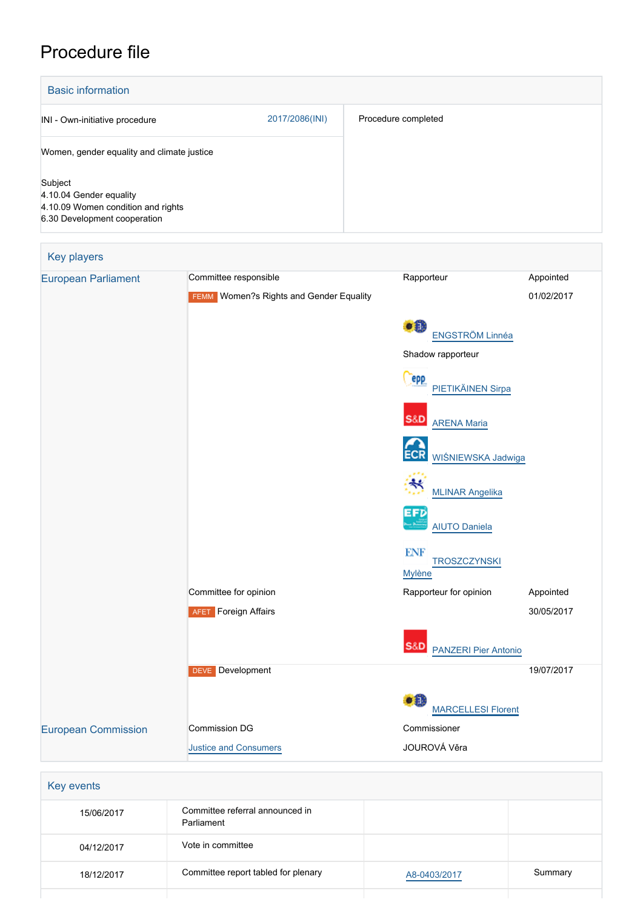## Procedure file

| <b>Basic information</b>                                                                                 |                |                     |  |  |
|----------------------------------------------------------------------------------------------------------|----------------|---------------------|--|--|
| INI - Own-initiative procedure                                                                           | 2017/2086(INI) | Procedure completed |  |  |
| Women, gender equality and climate justice                                                               |                |                     |  |  |
| Subject<br>4.10.04 Gender equality<br>4.10.09 Women condition and rights<br>6.30 Development cooperation |                |                     |  |  |

| <b>Key players</b>         |                                                |                                               |            |
|----------------------------|------------------------------------------------|-----------------------------------------------|------------|
| <b>European Parliament</b> | Committee responsible                          | Rapporteur                                    | Appointed  |
|                            | <b>FEMM</b> Women?s Rights and Gender Equality |                                               | 01/02/2017 |
|                            |                                                | $\bullet$<br>ENGSTRÖM Linnéa                  |            |
|                            |                                                | Shadow rapporteur                             |            |
|                            |                                                | <b>epp</b><br>PIETIKÄINEN Sirpa               |            |
|                            |                                                | <b>S&amp;D</b><br><b>ARENA Maria</b>          |            |
|                            |                                                | <b>ECR</b><br>WIŚNIEWSKA Jadwiga              |            |
|                            |                                                | $\ast$<br><b>MLINAR Angelika</b>              |            |
|                            |                                                | EFD<br><b>AIUTO Daniela</b>                   |            |
|                            |                                                | <b>ENF</b><br><b>TROSZCZYNSKI</b>             |            |
|                            |                                                | <b>Mylène</b>                                 |            |
|                            | Committee for opinion                          | Rapporteur for opinion                        | Appointed  |
|                            | <b>AFET</b> Foreign Affairs                    |                                               | 30/05/2017 |
|                            |                                                | <b>S&amp;D</b><br><b>PANZERI Pier Antonio</b> |            |
|                            | <b>DEVE</b> Development                        |                                               | 19/07/2017 |
|                            |                                                | O H<br><b>MARCELLESI Florent</b>              |            |
| <b>European Commission</b> | Commission DG                                  | Commissioner                                  |            |
|                            | <b>Justice and Consumers</b>                   | JOUROVÁ Věra                                  |            |
|                            |                                                |                                               |            |
| Key events                 |                                                |                                               |            |
| 15/06/2017                 | Committee referral announced in<br>Parliament  |                                               |            |
| 04/12/2017                 | Vote in committee                              |                                               |            |

18/12/2017 Committee report tabled for plenary Mass [A8-0403/2017](https://www.europarl.europa.eu/doceo/document/A-8-2017-0403_EN.html) Summary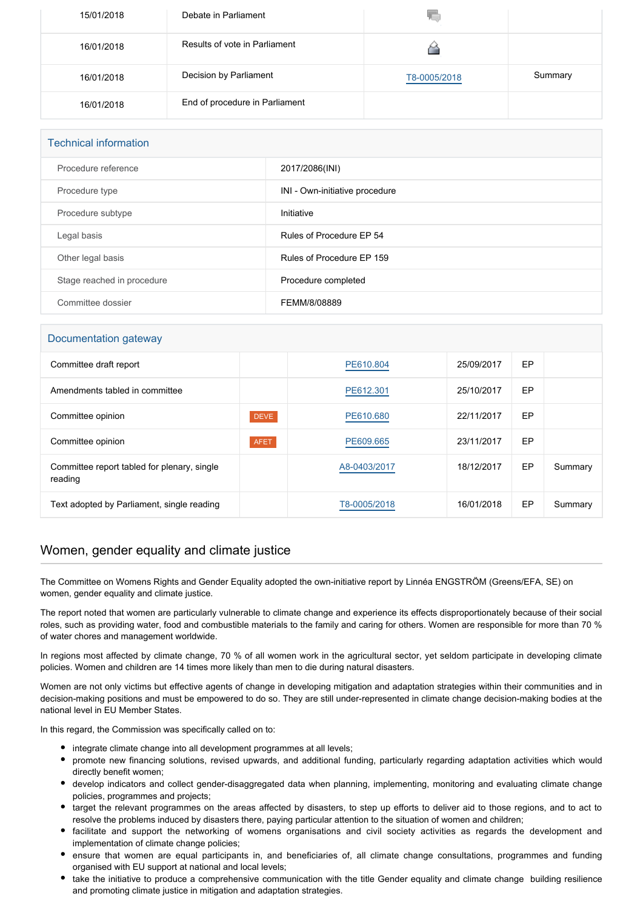| 15/01/2018 | Debate in Parliament           |              |         |
|------------|--------------------------------|--------------|---------|
| 16/01/2018 | Results of vote in Parliament  |              |         |
| 16/01/2018 | Decision by Parliament         | T8-0005/2018 | Summary |
| 16/01/2018 | End of procedure in Parliament |              |         |

| <b>Technical information</b> |                                |  |  |
|------------------------------|--------------------------------|--|--|
| Procedure reference          | 2017/2086(INI)                 |  |  |
| Procedure type               | INI - Own-initiative procedure |  |  |
| Procedure subtype            | Initiative                     |  |  |
| Legal basis                  | Rules of Procedure EP 54       |  |  |
| Other legal basis            | Rules of Procedure EP 159      |  |  |
| Stage reached in procedure   | Procedure completed            |  |  |
| Committee dossier            | FEMM/8/08889                   |  |  |

## Documentation gateway

| ັ                                                      |             |              |            |    |         |
|--------------------------------------------------------|-------------|--------------|------------|----|---------|
| Committee draft report                                 |             | PE610.804    | 25/09/2017 | EP |         |
| Amendments tabled in committee                         |             | PE612.301    | 25/10/2017 | EP |         |
| Committee opinion                                      | <b>DEVE</b> | PE610.680    | 22/11/2017 | EP |         |
| Committee opinion                                      | <b>AFET</b> | PE609.665    | 23/11/2017 | EP |         |
| Committee report tabled for plenary, single<br>reading |             | A8-0403/2017 | 18/12/2017 | EP | Summary |
| Text adopted by Parliament, single reading             |             | T8-0005/2018 | 16/01/2018 | EP | Summary |

## Women, gender equality and climate justice

The Committee on Womens Rights and Gender Equality adopted the own-initiative report by Linnéa ENGSTRÖM (Greens/EFA, SE) on women, gender equality and climate justice.

The report noted that women are particularly vulnerable to climate change and experience its effects disproportionately because of their social roles, such as providing water, food and combustible materials to the family and caring for others. Women are responsible for more than 70 % of water chores and management worldwide.

In regions most affected by climate change, 70 % of all women work in the agricultural sector, yet seldom participate in developing climate policies. Women and children are 14 times more likely than men to die during natural disasters.

Women are not only victims but effective agents of change in developing mitigation and adaptation strategies within their communities and in decision-making positions and must be empowered to do so. They are still under-represented in climate change decision-making bodies at the national level in EU Member States.

In this regard, the Commission was specifically called on to:

- integrate climate change into all development programmes at all levels;
- promote new financing solutions, revised upwards, and additional funding, particularly regarding adaptation activities which would directly benefit women;
- develop indicators and collect gender-disaggregated data when planning, implementing, monitoring and evaluating climate change policies, programmes and projects;
- target the relevant programmes on the areas affected by disasters, to step up efforts to deliver aid to those regions, and to act to resolve the problems induced by disasters there, paying particular attention to the situation of women and children;
- facilitate and support the networking of womens organisations and civil society activities as regards the development and implementation of climate change policies;
- ensure that women are equal participants in, and beneficiaries of, all climate change consultations, programmes and funding organised with EU support at national and local levels;
- take the initiative to produce a comprehensive communication with the title Gender equality and climate change building resilience and promoting climate justice in mitigation and adaptation strategies.